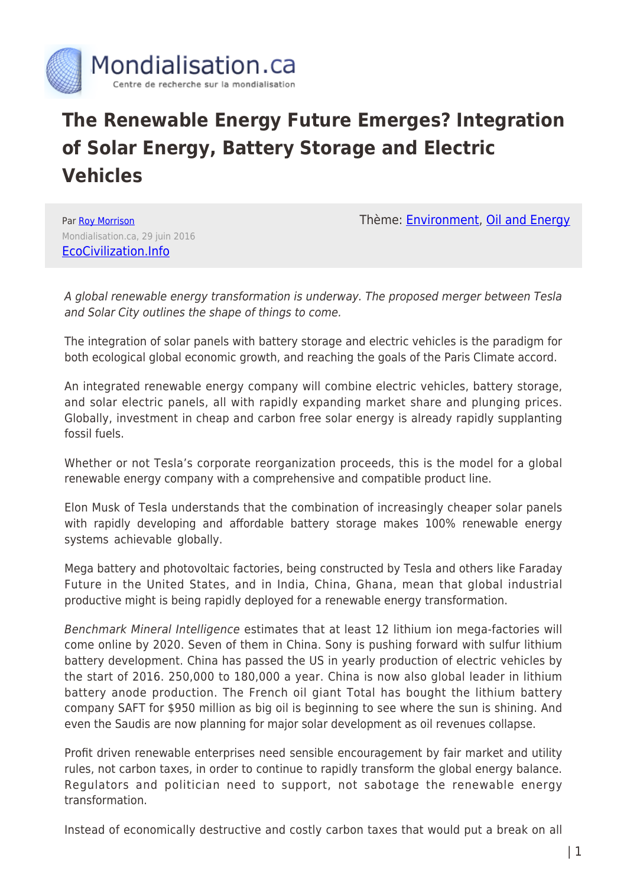

# **The Renewable Energy Future Emerges? Integration of Solar Energy, Battery Storage and Electric Vehicles**

Par [Roy Morrison](https://www.mondialisation.ca/author/roy-morrison) Mondialisation.ca, 29 juin 2016 [EcoCivilization.Info](http://ecocivilization.info/a-renewable-energy-future-emrges.html)

Thème: **[Environment](https://www.mondialisation.ca/theme/environment)**, [Oil and Energy](https://www.mondialisation.ca/theme/oil-and-energy)

A global renewable energy transformation is underway. The proposed merger between Tesla and Solar City outlines the shape of things to come.

The integration of solar panels with battery storage and electric vehicles is the paradigm for both ecological global economic growth, and reaching the goals of the Paris Climate accord.

An integrated renewable energy company will combine electric vehicles, battery storage, and solar electric panels, all with rapidly expanding market share and plunging prices. Globally, investment in cheap and carbon free solar energy is already rapidly supplanting fossil fuels.

Whether or not Tesla's corporate reorganization proceeds, this is the model for a global renewable energy company with a comprehensive and compatible product line.

Elon Musk of Tesla understands that the combination of increasingly cheaper solar panels with rapidly developing and affordable battery storage makes 100% renewable energy systems achievable globally.

Mega battery and photovoltaic factories, being constructed by Tesla and others like Faraday Future in the United States, and in India, China, Ghana, mean that global industrial productive might is being rapidly deployed for a renewable energy transformation.

Benchmark Mineral Intelligence estimates that at least 12 lithium ion mega-factories will come online by 2020. Seven of them in China. Sony is pushing forward with sulfur lithium battery development. China has passed the US in yearly production of electric vehicles by the start of 2016. 250,000 to 180,000 a year. China is now also global leader in lithium battery anode production. The French oil giant Total has bought the lithium battery company SAFT for \$950 million as big oil is beginning to see where the sun is shining. And even the Saudis are now planning for major solar development as oil revenues collapse.

Profit driven renewable enterprises need sensible encouragement by fair market and utility rules, not carbon taxes, in order to continue to rapidly transform the global energy balance. Regulators and politician need to support, not sabotage the renewable energy transformation.

Instead of economically destructive and costly carbon taxes that would put a break on all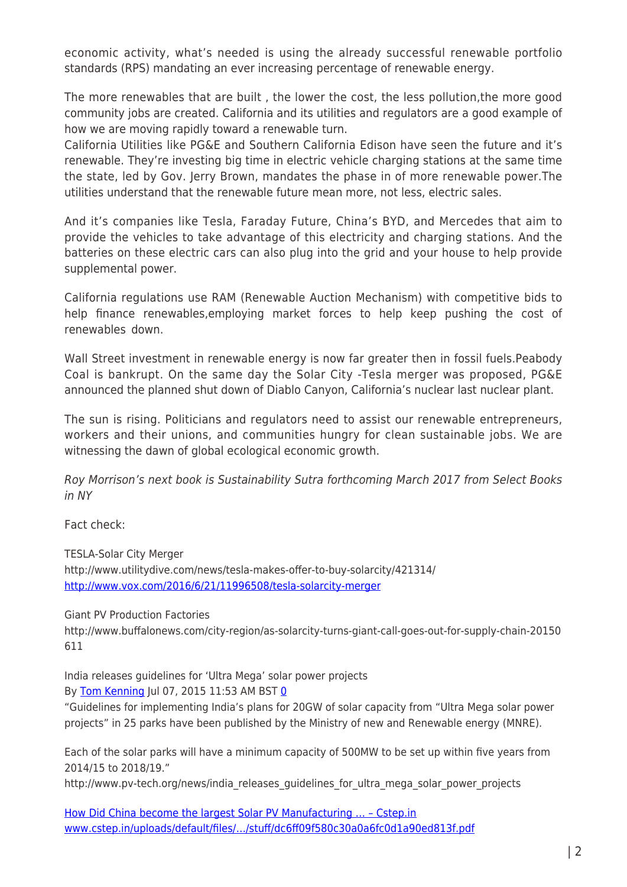economic activity, what's needed is using the already successful renewable portfolio standards (RPS) mandating an ever increasing percentage of renewable energy.

The more renewables that are built , the lower the cost, the less pollution,the more good community jobs are created. California and its utilities and regulators are a good example of how we are moving rapidly toward a renewable turn.

California Utilities like PG&E and Southern California Edison have seen the future and it's renewable. They're investing big time in electric vehicle charging stations at the same time the state, led by Gov. Jerry Brown, mandates the phase in of more renewable power.The utilities understand that the renewable future mean more, not less, electric sales.

And it's companies like Tesla, Faraday Future, China's BYD, and Mercedes that aim to provide the vehicles to take advantage of this electricity and charging stations. And the batteries on these electric cars can also plug into the grid and your house to help provide supplemental power.

California regulations use RAM (Renewable Auction Mechanism) with competitive bids to help finance renewables,employing market forces to help keep pushing the cost of renewables down.

Wall Street investment in renewable energy is now far greater then in fossil fuels.Peabody Coal is bankrupt. On the same day the Solar City -Tesla merger was proposed, PG&E announced the planned shut down of Diablo Canyon, California's nuclear last nuclear plant.

The sun is rising. Politicians and regulators need to assist our renewable entrepreneurs, workers and their unions, and communities hungry for clean sustainable jobs. We are witnessing the dawn of global ecological economic growth.

Roy Morrison's next book is Sustainability Sutra forthcoming March 2017 from Select Books in NY

Fact check:

TESLA-Solar City Merger http://www.utilitydive.com/news/tesla-makes-offer-to-buy-solarcity/421314/ <http://www.vox.com/2016/6/21/11996508/tesla-solarcity-merger>

Giant PV Production Factories

http://www.buffalonews.com/city-region/as-solarcity-turns-giant-call-goes-out-for-supply-chain-20150 611

India releases guidelines for 'Ultra Mega' solar power projects By [Tom Kenning](http://www.pv-tech.org/authors/tomkenning) Jul [0](http://www.pv-tech.org/news/india_releases_guidelines_for_ultra_mega_solar_power_projects#disqus_thread)7, 2015 11:53 AM BST 0

"Guidelines for implementing India's plans for 20GW of solar capacity from "Ultra Mega solar power projects" in 25 parks have been published by the Ministry of new and Renewable energy (MNRE).

Each of the solar parks will have a minimum capacity of 500MW to be set up within five years from 2014/15 to 2018/19."

http://www.pv-tech.org/news/india\_releases\_guidelines\_for\_ultra\_mega\_solar\_power\_projects

[How Did China become the largest Solar PV Manufacturing … – Cstep.in](https://www.google.com/url?sa=t&rct=j&q=&esrc=s&source=web&cd=1&ved=0ahUKEwiW5tmh-LvNAhWDyj4KHTBbBj8QFggrMAA&url=http%3A%2F%2Fwww.cstep.in%2Fuploads%2Fdefault%2Ffiles%2Fpublications%2Fstuff%2Fdc6ff09f580c30a0a6fc0d1a90ed813f.pdf&usg=AFQjCNGzV1Lm1f_tstddK-0036XAXcVNXg&cad=rjt) [www.cstep.in/uploads/default/files/…/stuff/dc6ff09f580c30a0a6fc0d1a90ed813f.pdf](http://www.cstep.in/uploads/default/files/.../stuff/dc6ff09f580c30a0a6fc0d1a90ed813f.pdf)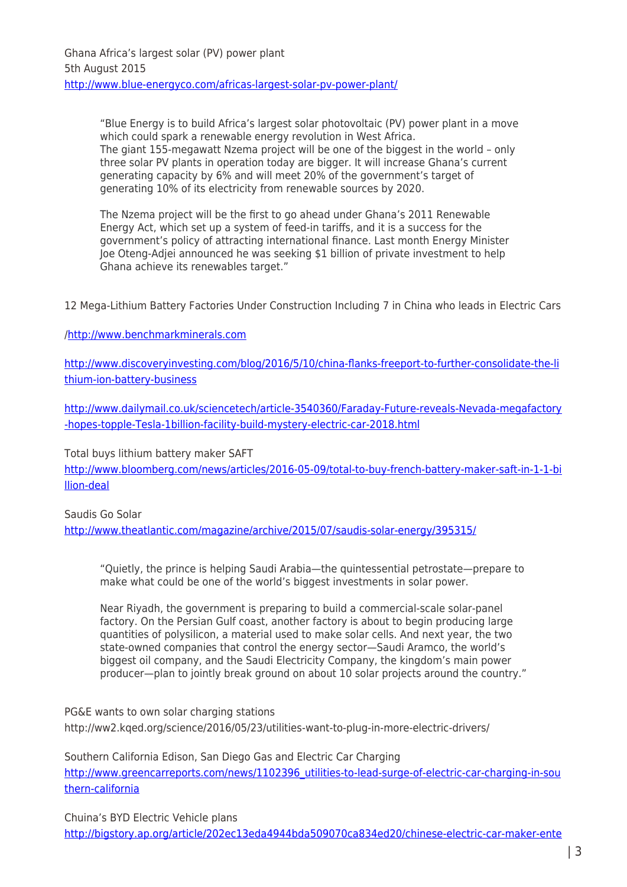"Blue Energy is to build Africa's largest solar photovoltaic (PV) power plant in a move which could spark a renewable energy revolution in West Africa. The giant 155-megawatt Nzema project will be one of the biggest in the world – only three solar PV plants in operation today are bigger. It will increase Ghana's current generating capacity by 6% and will meet 20% of the government's target of generating 10% of its electricity from renewable sources by 2020.

The Nzema project will be the first to go ahead under Ghana's 2011 Renewable Energy Act, which set up a system of feed-in tariffs, and it is a success for the government's policy of attracting international finance. Last month Energy Minister Joe Oteng-Adjei announced he was seeking \$1 billion of private investment to help Ghana achieve its renewables target."

12 Mega-Lithium Battery Factories Under Construction Including 7 in China who leads in Electric Cars

## [/http://www.benchmarkminerals.com](http://www.benchmarkminerals.com/)

[http://www.discoveryinvesting.com/blog/2016/5/10/china-flanks-freeport-to-further-consolidate-the-li](http://www.discoveryinvesting.com/blog/2016/5/10/china-flanks-freeport-to-further-consolidate-the-lithium-ion-battery-business) [thium-ion-battery-business](http://www.discoveryinvesting.com/blog/2016/5/10/china-flanks-freeport-to-further-consolidate-the-lithium-ion-battery-business)

[http://www.dailymail.co.uk/sciencetech/article-3540360/Faraday-Future-reveals-Nevada-megafactory](http://www.dailymail.co.uk/sciencetech/article-3540360/Faraday-Future-reveals-Nevada-megafactory-hopes-topple-Tesla-1billion-facility-build-mystery-electric-car-2018.html) [-hopes-topple-Tesla-1billion-facility-build-mystery-electric-car-2018.html](http://www.dailymail.co.uk/sciencetech/article-3540360/Faraday-Future-reveals-Nevada-megafactory-hopes-topple-Tesla-1billion-facility-build-mystery-electric-car-2018.html)

Total buys lithium battery maker SAFT

[http://www.bloomberg.com/news/articles/2016-05-09/total-to-buy-french-battery-maker-saft-in-1-1-bi](http://www.bloomberg.com/news/articles/2016-05-09/total-to-buy-french-battery-maker-saft-in-1-1-billion-deal) [llion-deal](http://www.bloomberg.com/news/articles/2016-05-09/total-to-buy-french-battery-maker-saft-in-1-1-billion-deal)

## Saudis Go Solar

<http://www.theatlantic.com/magazine/archive/2015/07/saudis-solar-energy/395315/>

"Quietly, the prince is helping Saudi Arabia—the quintessential petrostate—prepare to make what could be one of the world's biggest investments in solar power.

Near Riyadh, the government is preparing to build a commercial-scale solar-panel factory. On the Persian Gulf coast, another factory is about to begin producing large quantities of polysilicon, a material used to make solar cells. And next year, the two state-owned companies that control the energy sector—Saudi Aramco, the world's biggest oil company, and the Saudi Electricity Company, the kingdom's main power producer—plan to jointly break ground on about 10 solar projects around the country."

PG&E wants to own solar charging stations http://ww2.kqed.org/science/2016/05/23/utilities-want-to-plug-in-more-electric-drivers/

Southern California Edison, San Diego Gas and Electric Car Charging [http://www.greencarreports.com/news/1102396\\_utilities-to-lead-surge-of-electric-car-charging-in-sou](http://www.greencarreports.com/news/1102396_utilities-to-lead-surge-of-electric-car-charging-in-southern-california) [thern-california](http://www.greencarreports.com/news/1102396_utilities-to-lead-surge-of-electric-car-charging-in-southern-california)

Chuina's BYD Electric Vehicle plans [http://bigstory.ap.org/article/202ec13eda4944bda509070ca834ed20/chinese-electric-car-maker-ente](http://bigstory.ap.org/article/202ec13eda4944bda509070ca834ed20/chinese-electric-car-maker-enters-us-market-selling-buses)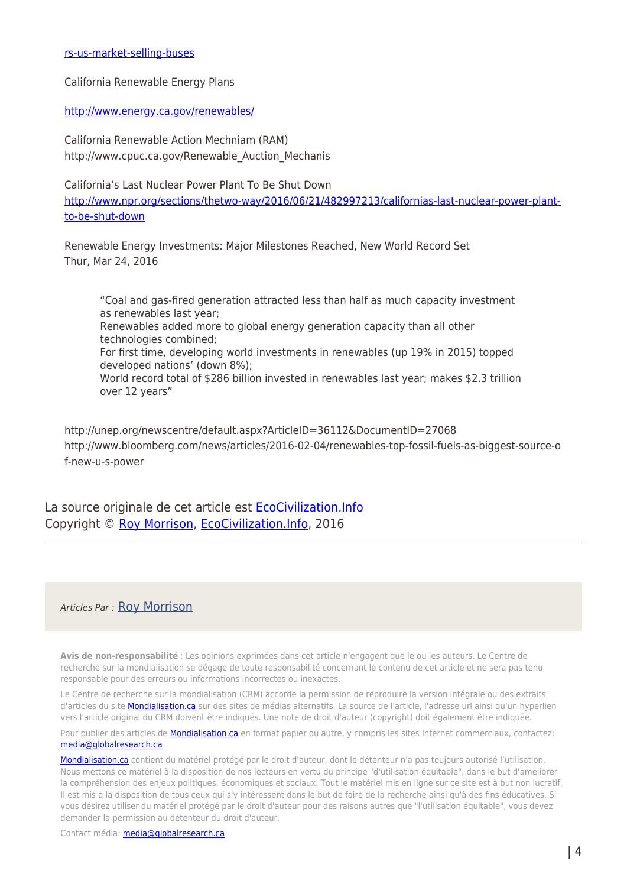#### [rs-us-market-selling-buses](http://bigstory.ap.org/article/202ec13eda4944bda509070ca834ed20/chinese-electric-car-maker-enters-us-market-selling-buses)

California Renewable Energy Plans

#### <http://www.energy.ca.gov/renewables/>

California Renewable Action Mechniam (RAM) http://www.cpuc.ca.gov/Renewable\_Auction\_Mechanis

California's Last Nuclear Power Plant To Be Shut Down [http://www.npr.org/sections/thetwo-way/2016/06/21/482997213/californias-last-nuclear-power-plant](http://www.npr.org/sections/thetwo-way/2016/06/21/482997213/californias-last-nuclear-power-plant-to-be-shut-down)[to-be-shut-down](http://www.npr.org/sections/thetwo-way/2016/06/21/482997213/californias-last-nuclear-power-plant-to-be-shut-down)

Renewable Energy Investments: Major Milestones Reached, New World Record Set Thur, Mar 24, 2016

"Coal and gas-fired generation attracted less than half as much capacity investment as renewables last year; Renewables added more to global energy generation capacity than all other technologies combined; For first time, developing world investments in renewables (up 19% in 2015) topped developed nations' (down 8%); World record total of \$286 billion invested in renewables last year; makes \$2.3 trillion over 12 years"

http://unep.org/newscentre/default.aspx?ArticleID=36112&DocumentID=27068 http://www.bloomberg.com/news/articles/2016-02-04/renewables-top-fossil-fuels-as-biggest-source-o f-new-u-s-power

La source originale de cet article est EcoCivilization. Info Copyright © [Roy Morrison,](https://www.mondialisation.ca/author/roy-morrison) [EcoCivilization.Info,](http://ecocivilization.info/a-renewable-energy-future-emrges.html) 2016

### Articles Par : [Roy Morrison](https://www.mondialisation.ca/author/roy-morrison)

**Avis de non-responsabilité** : Les opinions exprimées dans cet article n'engagent que le ou les auteurs. Le Centre de recherche sur la mondialisation se dégage de toute responsabilité concernant le contenu de cet article et ne sera pas tenu responsable pour des erreurs ou informations incorrectes ou inexactes.

Le Centre de recherche sur la mondialisation (CRM) accorde la permission de reproduire la version intégrale ou des extraits d'articles du site **Mondialisation.ca** sur des sites de médias alternatifs. La source de l'article, l'adresse url ainsi qu'un hyperlien vers l'article original du CRM doivent être indiqués. Une note de droit d'auteur (copyright) doit également être indiquée.

Pour publier des articles de [Mondialisation.ca](https://mondialisation.ca) en format papier ou autre, y compris les sites Internet commerciaux, contactez: [media@globalresearch.ca](mailto:media@globalresearch.ca)

[Mondialisation.ca](https://mondialisation.ca) contient du matériel protégé par le droit d'auteur, dont le détenteur n'a pas toujours autorisé l'utilisation. Nous mettons ce matériel à la disposition de nos lecteurs en vertu du principe "d'utilisation équitable", dans le but d'améliorer la compréhension des enjeux politiques, économiques et sociaux. Tout le matériel mis en ligne sur ce site est à but non lucratif. Il est mis à la disposition de tous ceux qui s'y intéressent dans le but de faire de la recherche ainsi qu'à des fins éducatives. Si vous désirez utiliser du matériel protégé par le droit d'auteur pour des raisons autres que "l'utilisation équitable", vous devez demander la permission au détenteur du droit d'auteur.

Contact média: [media@globalresearch.ca](mailto:media@globalresearch.ca)